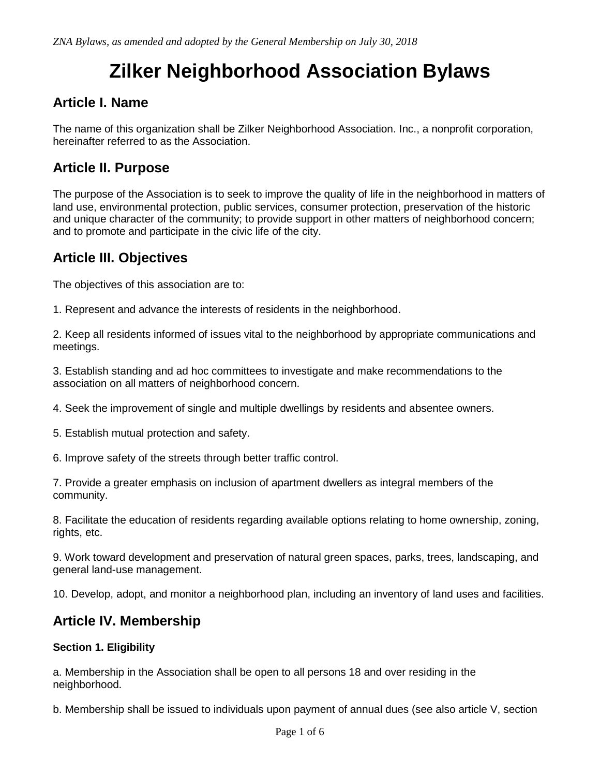# **Zilker Neighborhood Association Bylaws**

## **Article I. Name**

The name of this organization shall be Zilker Neighborhood Association. Inc., a nonprofit corporation, hereinafter referred to as the Association.

### **Article II. Purpose**

The purpose of the Association is to seek to improve the quality of life in the neighborhood in matters of land use, environmental protection, public services, consumer protection, preservation of the historic and unique character of the community; to provide support in other matters of neighborhood concern; and to promote and participate in the civic life of the city.

## **Article III. Objectives**

The objectives of this association are to:

1. Represent and advance the interests of residents in the neighborhood.

2. Keep all residents informed of issues vital to the neighborhood by appropriate communications and meetings.

3. Establish standing and ad hoc committees to investigate and make recommendations to the association on all matters of neighborhood concern.

4. Seek the improvement of single and multiple dwellings by residents and absentee owners.

5. Establish mutual protection and safety.

6. Improve safety of the streets through better traffic control.

7. Provide a greater emphasis on inclusion of apartment dwellers as integral members of the community.

8. Facilitate the education of residents regarding available options relating to home ownership, zoning, rights, etc.

9. Work toward development and preservation of natural green spaces, parks, trees, landscaping, and general land-use management.

10. Develop, adopt, and monitor a neighborhood plan, including an inventory of land uses and facilities.

### **Article IV. Membership**

#### **Section 1. Eligibility**

a. Membership in the Association shall be open to all persons 18 and over residing in the neighborhood.

b. Membership shall be issued to individuals upon payment of annual dues (see also article V, section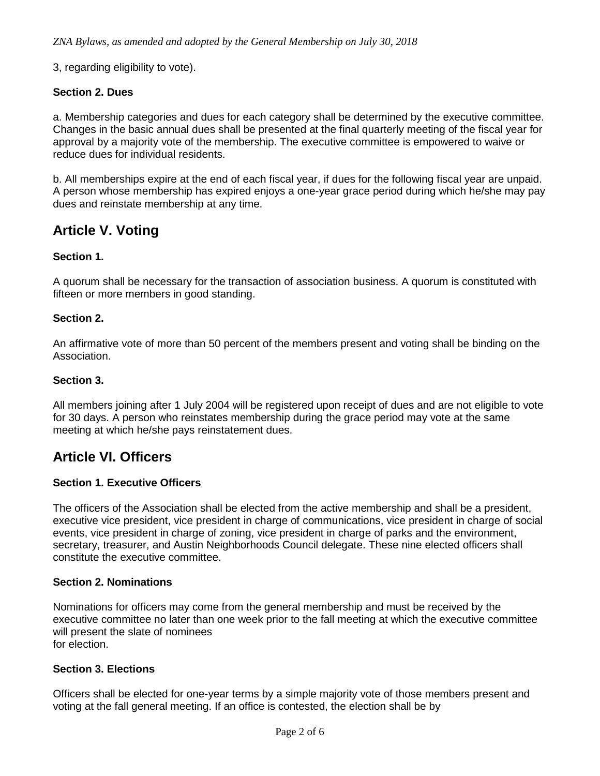3, regarding eligibility to vote).

#### **Section 2. Dues**

a. Membership categories and dues for each category shall be determined by the executive committee. Changes in the basic annual dues shall be presented at the final quarterly meeting of the fiscal year for approval by a majority vote of the membership. The executive committee is empowered to waive or reduce dues for individual residents.

b. All memberships expire at the end of each fiscal year, if dues for the following fiscal year are unpaid. A person whose membership has expired enjoys a one-year grace period during which he/she may pay dues and reinstate membership at any time.

### **Article V. Voting**

#### **Section 1.**

A quorum shall be necessary for the transaction of association business. A quorum is constituted with fifteen or more members in good standing.

#### **Section 2.**

An affirmative vote of more than 50 percent of the members present and voting shall be binding on the Association.

#### **Section 3.**

All members joining after 1 July 2004 will be registered upon receipt of dues and are not eligible to vote for 30 days. A person who reinstates membership during the grace period may vote at the same meeting at which he/she pays reinstatement dues.

### **Article VI. Officers**

#### **Section 1. Executive Officers**

The officers of the Association shall be elected from the active membership and shall be a president, executive vice president, vice president in charge of communications, vice president in charge of social events, vice president in charge of zoning, vice president in charge of parks and the environment, secretary, treasurer, and Austin Neighborhoods Council delegate. These nine elected officers shall constitute the executive committee.

#### **Section 2. Nominations**

Nominations for officers may come from the general membership and must be received by the executive committee no later than one week prior to the fall meeting at which the executive committee will present the slate of nominees for election.

#### **Section 3. Elections**

Officers shall be elected for one-year terms by a simple majority vote of those members present and voting at the fall general meeting. If an office is contested, the election shall be by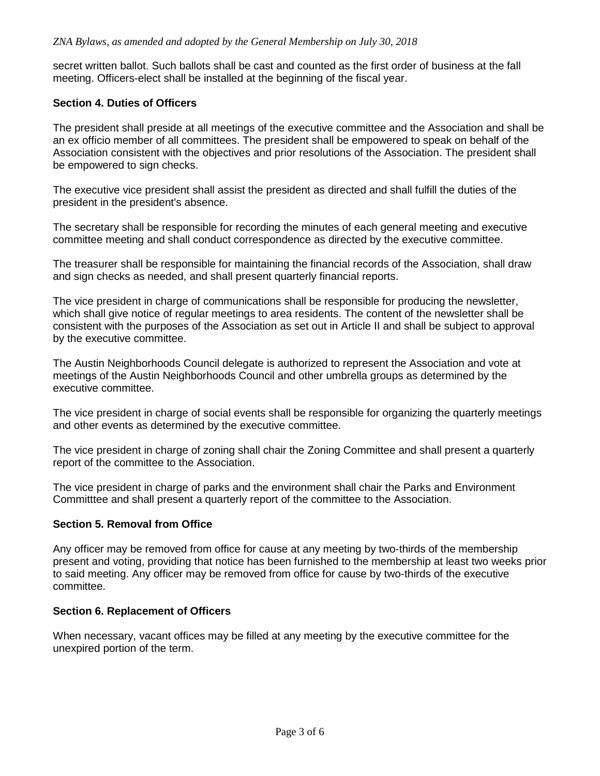secret written ballot. Such ballots shall be cast and counted as the first order of business at the fall meeting. Officers-elect shall be installed at the beginning of the fiscal year.

### **Section 4. Duties of Officers**

The president shall preside at all meetings of the executive committee and the Association and shall be an ex officio member of all committees. The president shall be empowered to speak on behalf of the Association consistent with the objectives and prior resolutions of the Association. The president shall be empowered to sign checks.

The executive vice president shall assist the president as directed and shall fulfill the duties of the president in the president's absence.

The secretary shall be responsible for recording the minutes of each general meeting and executive committee meeting and shall conduct correspondence as directed by the executive committee.

The treasurer shall be responsible for maintaining the financial records of the Association, shall draw and sign checks as needed, and shall present quarterly financial reports.

The vice president in charge of communications shall be responsible for producing the newsletter, which shall give notice of regular meetings to area residents. The content of the newsletter shall be consistent with the purposes of the Association as set out in Article II and shall be subject to approval by the executive committee.

The Austin Neighborhoods Council delegate is authorized to represent the Association and vote at meetings of the Austin Neighborhoods Council and other umbrella groups as determined by the executive committee.

The vice president in charge of social events shall be responsible for organizing the quarterly meetings and other events as determined by the executive committee.

The vice president in charge of zoning shall chair the Zoning Committee and shall present a quarterly report of the committee to the Association.

The vice president in charge of parks and the environment shall chair the Parks and Environment Committtee and shall present a quarterly report of the committee to the Association.

#### **Section 5. Removal from Office**

Any officer may be removed from office for cause at any meeting by two-thirds of the membership present and voting, providing that notice has been furnished to the membership at least two weeks prior to said meeting. Any officer may be removed from office for cause by two-thirds of the executive committee.

#### **Section 6. Replacement of Officers**

When necessary, vacant offices may be filled at any meeting by the executive committee for the unexpired portion of the term.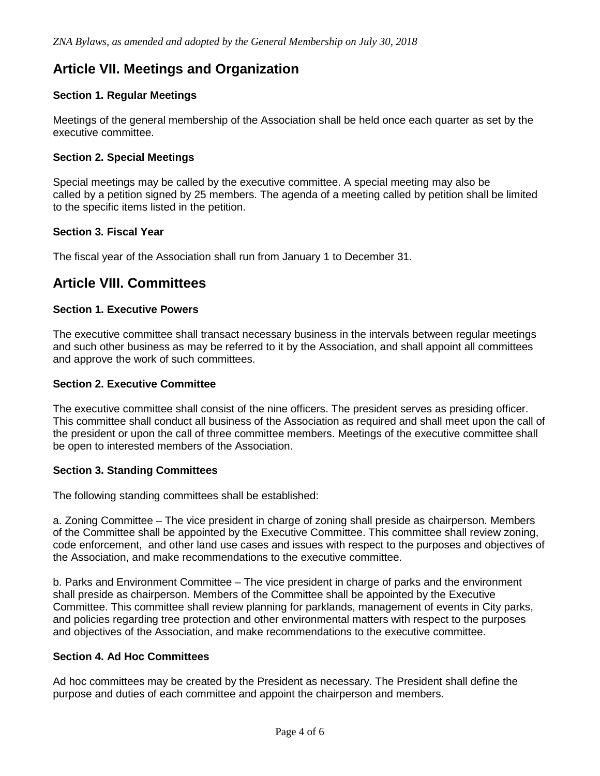# **Article VII. Meetings and Organization**

### **Section 1. Regular Meetings**

Meetings of the general membership of the Association shall be held once each quarter as set by the executive committee.

### **Section 2. Special Meetings**

Special meetings may be called by the executive committee. A special meeting may also be called by a petition signed by 25 members. The agenda of a meeting called by petition shall be limited to the specific items listed in the petition.

#### **Section 3. Fiscal Year**

The fiscal year of the Association shall run from January 1 to December 31.

### **Article VIII. Committees**

#### **Section 1. Executive Powers**

The executive committee shall transact necessary business in the intervals between regular meetings and such other business as may be referred to it by the Association, and shall appoint all committees and approve the work of such committees.

#### **Section 2. Executive Committee**

The executive committee shall consist of the nine officers. The president serves as presiding officer. This committee shall conduct all business of the Association as required and shall meet upon the call of the president or upon the call of three committee members. Meetings of the executive committee shall be open to interested members of the Association.

#### **Section 3. Standing Committees**

The following standing committees shall be established:

a. Zoning Committee – The vice president in charge of zoning shall preside as chairperson. Members of the Committee shall be appointed by the Executive Committee. This committee shall review zoning, code enforcement, and other land use cases and issues with respect to the purposes and objectives of the Association, and make recommendations to the executive committee.

b. Parks and Environment Committee – The vice president in charge of parks and the environment shall preside as chairperson. Members of the Committee shall be appointed by the Executive Committee. This committee shall review planning for parklands, management of events in City parks, and policies regarding tree protection and other environmental matters with respect to the purposes and objectives of the Association, and make recommendations to the executive committee.

#### **Section 4. Ad Hoc Committees**

Ad hoc committees may be created by the President as necessary. The President shall define the purpose and duties of each committee and appoint the chairperson and members.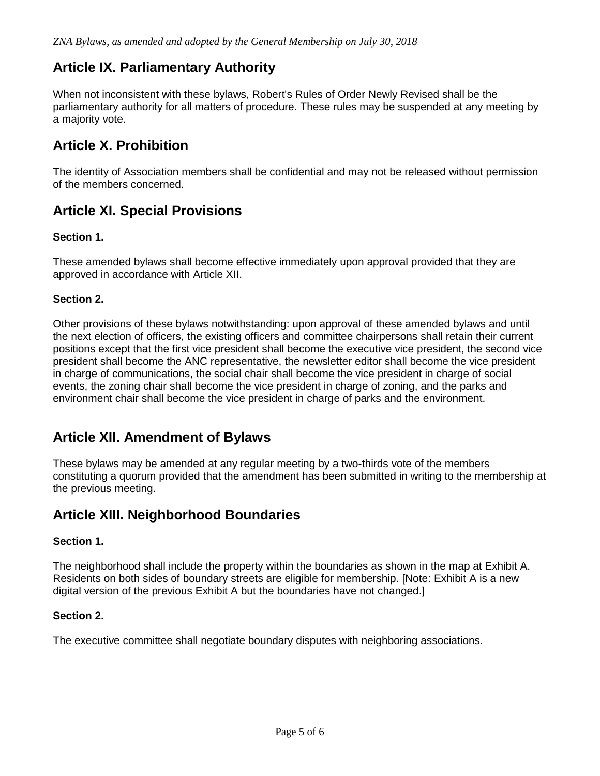# **Article IX. Parliamentary Authority**

When not inconsistent with these bylaws, Robert's Rules of Order Newly Revised shall be the parliamentary authority for all matters of procedure. These rules may be suspended at any meeting by a majority vote.

# **Article X. Prohibition**

The identity of Association members shall be confidential and may not be released without permission of the members concerned.

## **Article XI. Special Provisions**

### **Section 1.**

These amended bylaws shall become effective immediately upon approval provided that they are approved in accordance with Article XII.

### **Section 2.**

Other provisions of these bylaws notwithstanding: upon approval of these amended bylaws and until the next election of officers, the existing officers and committee chairpersons shall retain their current positions except that the first vice president shall become the executive vice president, the second vice president shall become the ANC representative, the newsletter editor shall become the vice president in charge of communications, the social chair shall become the vice president in charge of social events, the zoning chair shall become the vice president in charge of zoning, and the parks and environment chair shall become the vice president in charge of parks and the environment.

### **Article XII. Amendment of Bylaws**

These bylaws may be amended at any regular meeting by a two-thirds vote of the members constituting a quorum provided that the amendment has been submitted in writing to the membership at the previous meeting.

### **Article XIII. Neighborhood Boundaries**

#### **Section 1.**

The neighborhood shall include the property within the boundaries as shown in the map at Exhibit A. Residents on both sides of boundary streets are eligible for membership. [Note: Exhibit A is a new digital version of the previous Exhibit A but the boundaries have not changed.]

#### **Section 2.**

The executive committee shall negotiate boundary disputes with neighboring associations.